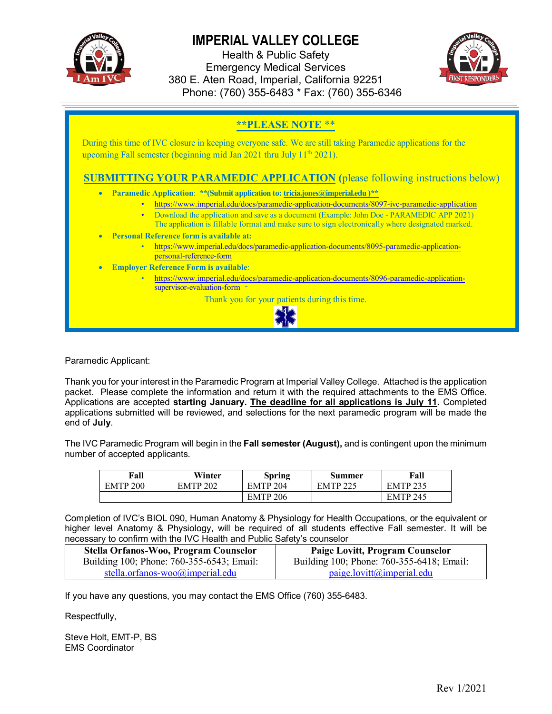

Health & Public Safety Emergency Medical Services 380 E. Aten Road, Imperial, California 92251 Phone: (760) 355-6483 \* Fax: (760) 355-6346



#### **\*\*PLEASE NOTE** \*\*

During this time of IVC closure in keeping everyone safe. We are still taking Paramedic applications for the upcoming Fall semester (beginning mid Jan 2021 thru July  $11<sup>th</sup>$  2021).

#### **SUBMITTING YOUR PARAMEDIC APPLICATION (**please following instructions below)

- **Paramedic Application**: **\*\*(Submit application to: tricia.jones@imperial.edu )\*\***
	- https://www.imperial.edu/docs/paramedic-application-documents/8097-ivc-paramedic-application
	- Download the application and save as a document (Example: John Doe PARAMEDIC APP 2021)
	- The application is fillable format and make sure to sign electronically where designated marked.
- **Personal Reference form is available at:**
	- https://www.imperial.edu/docs/paramedic-application-documents/8095-paramedic-applicationpersonal-reference-form
- **Employer Reference Form is available**:
	- https://www.imperial.edu/docs/paramedic-application-documents/8096-paramedic-applicationsupervisor-evaluation-form

Thank you for your patients during this time.



Paramedic Applicant:

Thank you for your interest in the Paramedic Program at Imperial Valley College. Attached is the application packet. Please complete the information and return it with the required attachments to the EMS Office. Applications are accepted **starting January. The deadline for all applications is July 11.** Completed applications submitted will be reviewed, and selections for the next paramedic program will be made the end of **July**.

The IVC Paramedic Program will begin in the **Fall semester (August),** and is contingent upon the minimum number of accepted applicants.

| Fall                | Winter          | Spring              | Summer              | Fall            |
|---------------------|-----------------|---------------------|---------------------|-----------------|
| EMTP <sub>200</sub> | <b>EMTP 202</b> | EMTP <sub>204</sub> | EMTP <sub>225</sub> | <b>EMTP 235</b> |
|                     |                 | EMTP <sub>206</sub> |                     | <b>EMTP 245</b> |

Completion of IVC's BIOL 090, Human Anatomy & Physiology for Health Occupations, or the equivalent or higher level Anatomy & Physiology, will be required of all students effective Fall semester. It will be necessary to confirm with the IVC Health and Public Safety's counselor

| Stella Orfanos-Woo, Program Counselor     | Paige Lovitt, Program Counselor           |
|-------------------------------------------|-------------------------------------------|
| Building 100; Phone: 760-355-6543; Email: | Building 100; Phone: 760-355-6418; Email: |
| stella.orfanos-woo@imperial.edu           | paige. lovitt@imperial.edu                |

If you have any questions, you may contact the EMS Office (760) 355-6483.

Respectfully,

Steve Holt, EMT-P, BS EMS Coordinator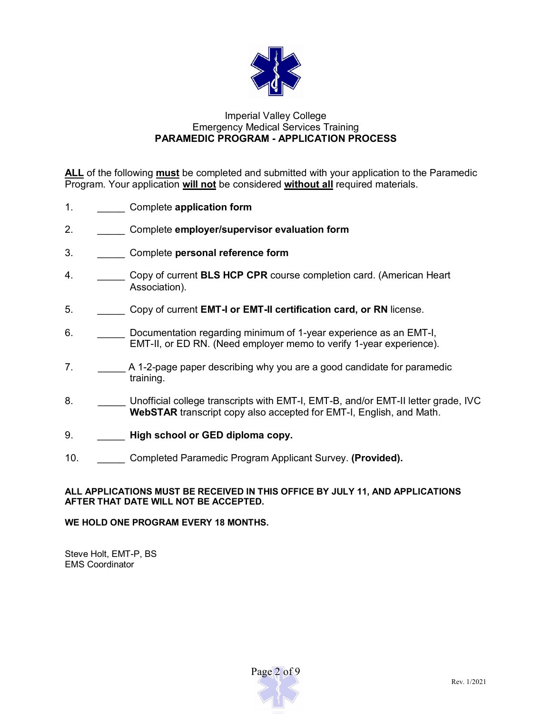

#### Imperial Valley College Emergency Medical Services Training **PARAMEDIC PROGRAM - APPLICATION PROCESS**

**ALL** of the following **must** be completed and submitted with your application to the Paramedic Program. Your application **will not** be considered **without all** required materials.

- 1. \_\_\_\_\_ Complete **application form**
- 2. \_\_\_\_\_ Complete **employer/supervisor evaluation form**
- 3. \_\_\_\_\_ Complete **personal reference form**
- 4. \_\_\_\_\_ Copy of current **BLS HCP CPR** course completion card. (American Heart Association).
- 5. \_\_\_\_\_ Copy of current **EMT-I or EMT-II certification card, or RN** license.
- 6. \_\_\_\_\_ Documentation regarding minimum of 1-year experience as an EMT-I, EMT-II, or ED RN. (Need employer memo to verify 1-year experience).
- 7. **\_\_\_\_\_** A 1-2-page paper describing why you are a good candidate for paramedic training.
- 8. **Unofficial college transcripts with EMT-I, EMT-B, and/or EMT-II letter grade, IVC WebSTAR** transcript copy also accepted for EMT-I, English, and Math.
- 9. \_\_\_\_\_ **High school or GED diploma copy.**
- 10. \_\_\_\_\_ Completed Paramedic Program Applicant Survey. **(Provided).**

#### **ALL APPLICATIONS MUST BE RECEIVED IN THIS OFFICE BY JULY 11, AND APPLICATIONS AFTER THAT DATE WILL NOT BE ACCEPTED.**

#### **WE HOLD ONE PROGRAM EVERY 18 MONTHS.**

Steve Holt, EMT-P, BS EMS Coordinator

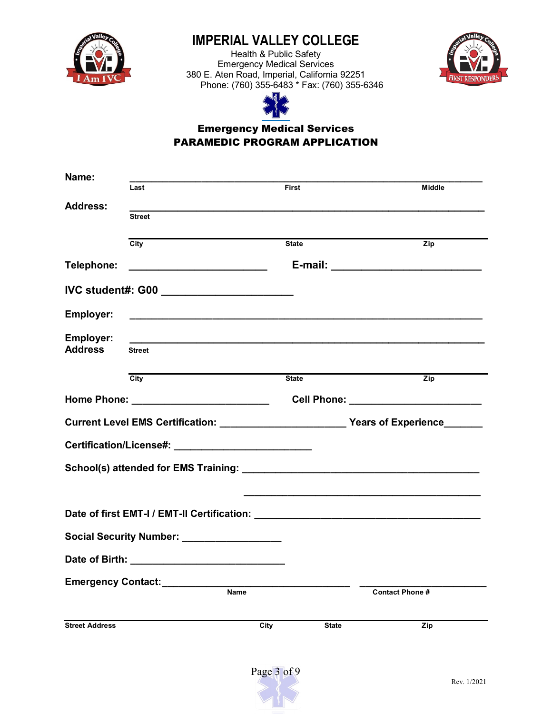

Health & Public Safety Emergency Medical Services 380 E. Aten Road, Imperial, California 92251 Phone: (760) 355-6483 \* Fax: (760) 355-6346





## Emergency Medical Services PARAMEDIC PROGRAM APPLICATION

| Name:                       | Last                                                                                                                  | <b>First</b>                       | <b>Middle</b>                          |
|-----------------------------|-----------------------------------------------------------------------------------------------------------------------|------------------------------------|----------------------------------------|
| <b>Address:</b>             | <b>Street</b>                                                                                                         |                                    |                                        |
|                             | City                                                                                                                  | <b>State</b>                       | $\overline{Zip}$                       |
| Telephone:                  |                                                                                                                       |                                    |                                        |
|                             | IVC student#: G00 ___________________________                                                                         |                                    |                                        |
| Employer:                   | <u> 1989 - Johann Stein, marwolaethau a bhann an t-Amhainn an t-Amhainn an t-Amhainn an t-Amhainn an t-Amhainn an</u> |                                    |                                        |
| Employer:<br><b>Address</b> | <b>Street</b>                                                                                                         |                                    |                                        |
|                             | $\overline{City}$                                                                                                     | <b>State</b>                       | Zip                                    |
|                             |                                                                                                                       |                                    | Cell Phone: __________________________ |
|                             |                                                                                                                       |                                    |                                        |
|                             |                                                                                                                       |                                    |                                        |
|                             |                                                                                                                       |                                    |                                        |
|                             |                                                                                                                       |                                    |                                        |
|                             | Social Security Number: __________________                                                                            |                                    |                                        |
|                             |                                                                                                                       |                                    |                                        |
|                             | Emergency Contact:                                                                                                    |                                    |                                        |
|                             | Name                                                                                                                  |                                    | <b>Contact Phone #</b>                 |
| <b>Street Address</b>       |                                                                                                                       | $\overline{C}$ ity<br><b>State</b> | Zip                                    |

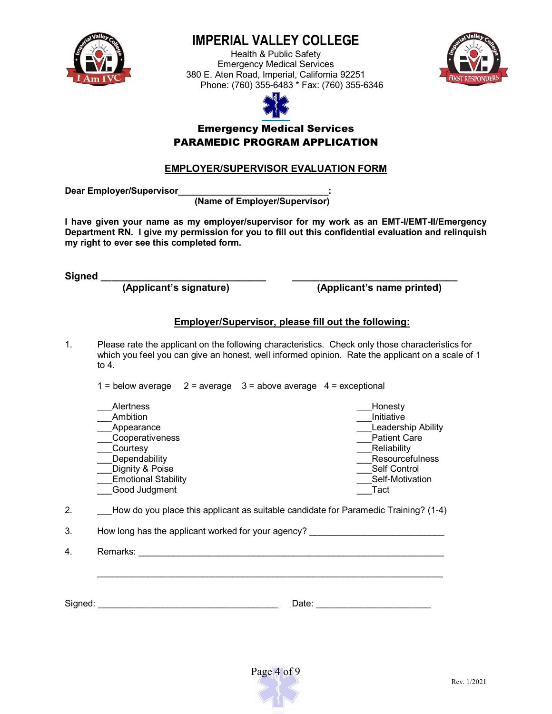

Health & Public Safety Emergency Medical Services 380 E. Aten Road, Imperial, California 92251 Phone: (760) 355-6483 \* Fax: (760) 355-6346





### Emergency Medical Services PARAMEDIC PROGRAM APPLICATION

### **EMPLOYER/SUPERVISOR EVALUATION FORM**

**Dear Employer/Supervisor\_\_\_\_\_\_\_\_\_\_\_\_\_\_\_\_\_\_\_\_\_\_\_\_\_\_\_\_\_\_:**

**(Name of Employer/Supervisor)**

**I have given your name as my employer/supervisor for my work as an EMT-I/EMT-II/Emergency Department RN. I give my permission for you to fill out this confidential evaluation and relinquish my right to ever see this completed form.**

**Signed \_\_\_\_\_\_\_\_\_\_\_\_\_\_\_\_\_\_\_\_\_\_\_\_\_\_\_\_\_\_ \_\_\_\_\_\_\_\_\_\_\_\_\_\_\_\_\_\_\_\_\_\_\_\_\_\_\_\_\_\_**

 **(Applicant's signature) (Applicant's name printed)**

### **Employer/Supervisor, please fill out the following:**

1. Please rate the applicant on the following characteristics. Check only those characteristics for which you feel you can give an honest, well informed opinion. Rate the applicant on a scale of 1 to 4.

1 = below average  $2 =$  average  $3 =$  above average  $4 =$  exceptional

| <b>Alertness</b>           | Honesty                |
|----------------------------|------------------------|
| Ambition                   | Initiative             |
| Appearance                 | Leadership Ability     |
| Cooperativeness            | <b>Patient Care</b>    |
| Courtesy                   | Reliability            |
| Dependability              | <b>Resourcefulness</b> |
| Dignity & Poise            | Self Control           |
| <b>Emotional Stability</b> | Self-Motivation        |
| Good Judgment              | Tact                   |
|                            |                        |

\_\_\_\_\_\_\_\_\_\_\_\_\_\_\_\_\_\_\_\_\_\_\_\_\_\_\_\_\_\_\_\_\_\_\_\_\_\_\_\_\_\_\_\_\_\_\_\_\_\_\_\_\_\_\_\_\_\_\_\_\_\_\_\_\_\_\_\_\_

2. How do you place this applicant as suitable candidate for Paramedic Training? (1-4)

3. How long has the applicant worked for your agency?

4. Remarks: **Example 2. Alternative 2. Alternative 2. Alternative 2. Alternative 2. Alternative 2. Alternative 2. Alternative 2. Alternative 2. Alternative 2. Alternative 2. Alternative 2. Alternative 2. Alternative 2. Alt** 

Signed: \_\_\_\_\_\_\_\_\_\_\_\_\_\_\_\_\_\_\_\_\_\_\_\_\_\_\_\_\_\_\_\_\_\_\_\_ Date: \_\_\_\_\_\_\_\_\_\_\_\_\_\_\_\_\_\_\_\_\_\_\_

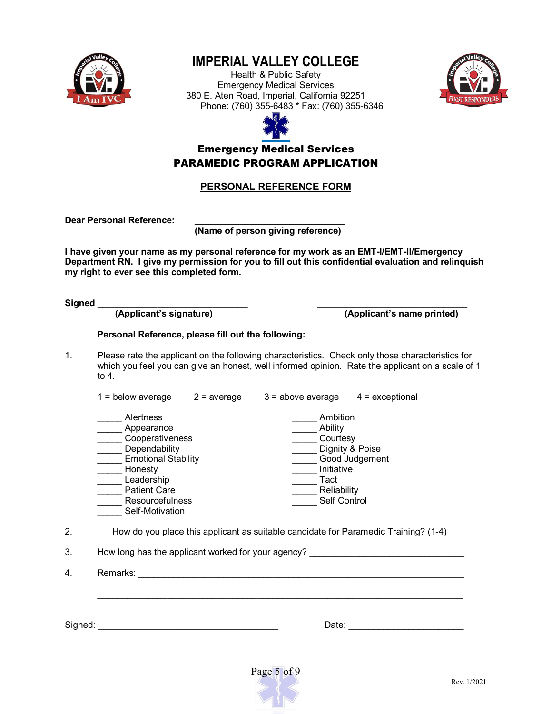

Health & Public Safety Emergency Medical Services 380 E. Aten Road, Imperial, California 92251 Phone: (760) 355-6483 \* Fax: (760) 355-6346





## Emergency Medical Services PARAMEDIC PROGRAM APPLICATION

#### **PERSONAL REFERENCE FORM**

Dear Personal Reference:

**(Name of person giving reference)** 

**I have given your name as my personal reference for my work as an EMT-I/EMT-II/Emergency Department RN. I give my permission for you to fill out this confidential evaluation and relinquish my right to ever see this completed form.**

**Signed \_\_\_\_\_\_\_\_\_\_\_\_\_\_\_\_\_\_\_\_\_\_\_\_\_\_\_\_\_\_ \_\_\_\_\_\_\_\_\_\_\_\_\_\_\_\_\_\_\_\_\_\_\_\_\_\_\_\_\_\_**

**(Applicant's name printed)** 

#### **Personal Reference, please fill out the following:**

1. Please rate the applicant on the following characteristics. Check only those characteristics for which you feel you can give an honest, well informed opinion. Rate the applicant on a scale of 1 to 4.

| $1 =$ below average                                                                                                                                                                           | $2 = average$ | $3 =$ above average                                                                  | $4 =$ exceptional                 |
|-----------------------------------------------------------------------------------------------------------------------------------------------------------------------------------------------|---------------|--------------------------------------------------------------------------------------|-----------------------------------|
| <b>Alertness</b><br>Appearance<br>Cooperativeness<br>Dependability<br><b>Emotional Stability</b><br>Honesty<br>Leadership<br><b>Patient Care</b><br><b>Resourcefulness</b><br>Self-Motivation |               | Ambition<br>Ability<br>Courtesy<br>Initiative<br>Tact<br>Reliability<br>Self Control | Dignity & Poise<br>Good Judgement |

2. How do you place this applicant as suitable candidate for Paramedic Training? (1-4)

3. How long has the applicant worked for your agency?

4. Remarks: \_\_\_\_\_\_\_\_\_\_\_\_\_\_\_\_\_\_\_\_\_\_\_\_\_\_\_\_\_\_\_\_\_\_\_\_\_\_\_\_\_\_\_\_\_\_\_\_\_\_\_\_\_\_\_\_\_\_\_\_\_\_\_\_\_

Signed: \_\_\_\_\_\_\_\_\_\_\_\_\_\_\_\_\_\_\_\_\_\_\_\_\_\_\_\_\_\_\_\_\_\_\_\_ Date: \_\_\_\_\_\_\_\_\_\_\_\_\_\_\_\_\_\_\_\_\_\_\_



\_\_\_\_\_\_\_\_\_\_\_\_\_\_\_\_\_\_\_\_\_\_\_\_\_\_\_\_\_\_\_\_\_\_\_\_\_\_\_\_\_\_\_\_\_\_\_\_\_\_\_\_\_\_\_\_\_\_\_\_\_\_\_\_\_\_\_\_\_\_\_\_\_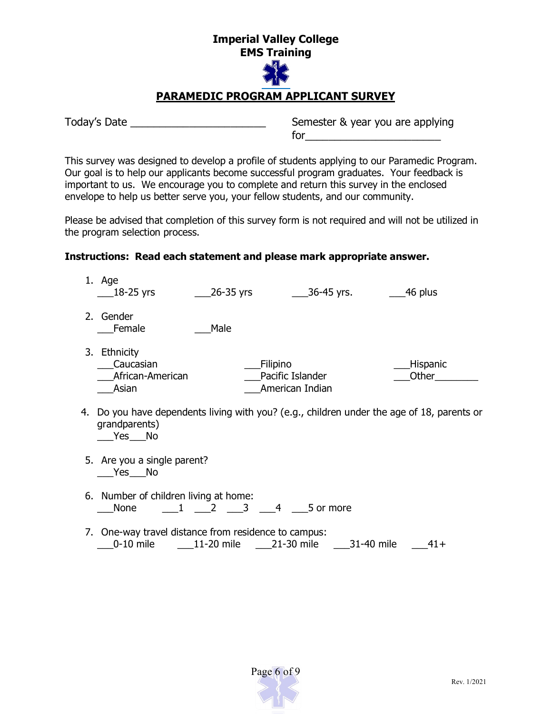#### **Imperial Valley College EMS Training**



## **PARAMEDIC PROGRAM APPLICANT SURVEY**

Today's Date \_\_\_\_\_\_\_\_\_\_\_\_\_\_\_\_\_\_\_\_\_\_\_ Semester & year you are applying for\_\_\_\_\_\_\_\_\_\_\_\_\_\_\_\_\_\_\_\_\_\_\_

This survey was designed to develop a profile of students applying to our Paramedic Program. Our goal is to help our applicants become successful program graduates. Your feedback is important to us. We encourage you to complete and return this survey in the enclosed envelope to help us better serve you, your fellow students, and our community.

Please be advised that completion of this survey form is not required and will not be utilized in the program selection process.

#### **Instructions: Read each statement and please mark appropriate answer.**

|    | 1. Age                                                 | $\_\_2$ 26-35 yrs | <sub>-</sub> 36-45 yrs.                         | 46 plus                                                                                 |
|----|--------------------------------------------------------|-------------------|-------------------------------------------------|-----------------------------------------------------------------------------------------|
|    | 2. Gender<br>Female                                    | Male              |                                                 |                                                                                         |
|    | 3. Ethnicity<br>Caucasian<br>African-American<br>Asian |                   | Filipino<br>Pacific Islander<br>American Indian | Hispanic<br>Other                                                                       |
| 4. | grandparents)<br>Yes No                                |                   |                                                 | Do you have dependents living with you? (e.g., children under the age of 18, parents or |
|    | 5. Are you a single parent?<br>Yes No                  |                   |                                                 |                                                                                         |
|    | 6. Number of children living at home:<br>None          | 1 2 3 4 5 or more |                                                 |                                                                                         |
|    | 7. One-way travel distance from residence to campus:   |                   | 21-30 mile                                      | 31-40 mile<br>$41+$                                                                     |

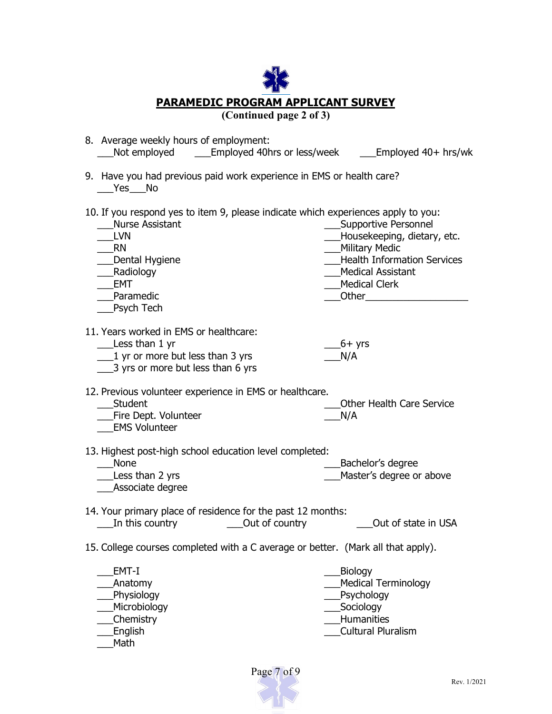| <b>PARAMEDIC PROGRAM APPLICANT SURVEY</b><br>(Continued page 2 of 3)                                                                                                                                       |                                                                                                                                                                                                                                                                                                                                                                                                      |  |  |
|------------------------------------------------------------------------------------------------------------------------------------------------------------------------------------------------------------|------------------------------------------------------------------------------------------------------------------------------------------------------------------------------------------------------------------------------------------------------------------------------------------------------------------------------------------------------------------------------------------------------|--|--|
| 8. Average weekly hours of employment:<br>Not employed ________ Employed 40hrs or less/week ________ Employed 40+ hrs/wk                                                                                   |                                                                                                                                                                                                                                                                                                                                                                                                      |  |  |
| 9. Have you had previous paid work experience in EMS or health care?<br>No Nes No                                                                                                                          |                                                                                                                                                                                                                                                                                                                                                                                                      |  |  |
| 10. If you respond yes to item 9, please indicate which experiences apply to you:<br><b>Nurse Assistant</b><br><b>LVN</b><br><b>RN</b><br>Dental Hygiene<br>___Radiology<br>EMT<br>Paramedic<br>Psych Tech | ___Supportive Personnel<br>___Housekeeping, dietary, etc.<br><b>Military Medic</b><br><b>Health Information Services</b><br>Medical Assistant<br>Medical Clerk<br><b>Other Contract Contract Contract Contract Contract Contract Contract Contract Contract Contract Contract Contract Contract Contract Contract Contract Contract Contract Contract Contract Contract Contract Contract Contra</b> |  |  |
| 11. Years worked in EMS or healthcare:<br>$\_\_\_\$ Less than 1 yr<br>$\frac{1}{2}$ yr or more but less than 3 yrs<br>3 yrs or more but less than 6 yrs                                                    | $-6+$ yrs<br>N/A                                                                                                                                                                                                                                                                                                                                                                                     |  |  |
| 12. Previous volunteer experience in EMS or healthcare.<br>___Student<br>__Fire Dept. Volunteer<br><b>EMS Volunteer</b>                                                                                    | Other Health Care Service<br>N/A                                                                                                                                                                                                                                                                                                                                                                     |  |  |
| 13. Highest post-high school education level completed:<br><b>None</b><br>Less than 2 yrs<br>Associate degree                                                                                              | Bachelor's degree<br>Master's degree or above                                                                                                                                                                                                                                                                                                                                                        |  |  |
| 14. Your primary place of residence for the past 12 months:<br>Out of country<br>In this country                                                                                                           | Out of state in USA                                                                                                                                                                                                                                                                                                                                                                                  |  |  |
| 15. College courses completed with a C average or better. (Mark all that apply).                                                                                                                           |                                                                                                                                                                                                                                                                                                                                                                                                      |  |  |
| EMT-I<br>Anatomy<br>Physiology<br>Microbiology<br><b>Chemistry</b><br>English<br>Math                                                                                                                      | Biology<br><b>Medical Terminology</b><br>Psychology<br>Sociology<br>Humanities<br><b>Cultural Pluralism</b>                                                                                                                                                                                                                                                                                          |  |  |

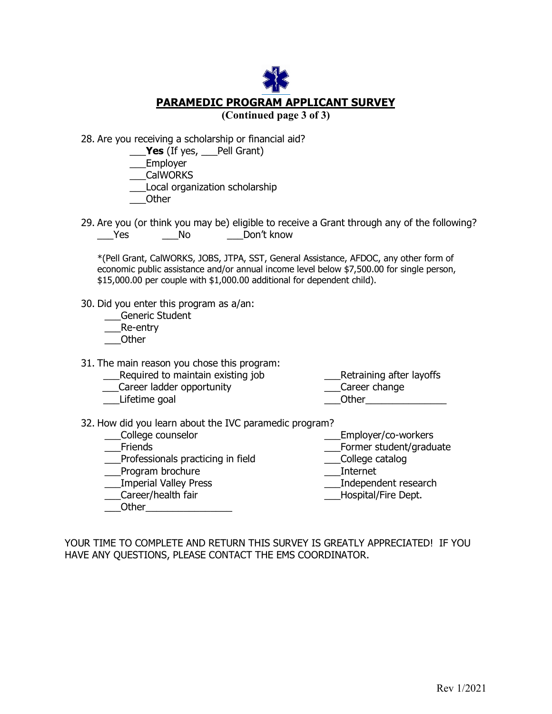**PARAMEDIC PROGRAM APPLICANT SURVEY (Continued page 3 of 3)** 

28. Are you receiving a scholarship or financial aid?

**\_\_\_Yes** (If yes, \_\_ Pell Grant)

\_\_\_Employer

\_\_\_CalWORKS

\_\_\_Local organization scholarship

\_\_\_Other

29. Are you (or think you may be) eligible to receive a Grant through any of the following? \_\_\_Yes \_\_\_No \_\_\_Don't know

\*(Pell Grant, CalWORKS, JOBS, JTPA, SST, General Assistance, AFDOC, any other form of economic public assistance and/or annual income level below \$7,500.00 for single person, \$15,000.00 per couple with \$1,000.00 additional for dependent child).

30. Did you enter this program as a/an:

\_\_\_Generic Student

\_\_\_Re-entry

\_\_\_Other

31. The main reason you chose this program:

- Lequired to maintain existing job<br>
Career ladder opportunity<br>
Career change
- \_\_\_Career ladder opportunity \_\_\_Career change

- 
- Lifetime goal and the set of the control of the control of the control of the control of the control of the co

- 32. How did you learn about the IVC paramedic program?
	-
	- Professionals practicing in field College catalogue can be college catalogue can be college catalogue of the college catalogue of  $\overline{\phantom{a}}$  college catalogue of the college catalogue of  $\overline{\phantom{a}}$  college catalogue of t
	-
	- \_\_\_Program brochure<br>\_\_\_Imperial Valley Press
	- $\frac{m}{2}$ Career/health fair

Other<sub>is</sub> and the set of the set of the set of the set of the set of the set of the set of the set of the set of the set of the set of the set of the set of the set of the set of the set of the set of the set of the set of

\_\_\_College counselor \_\_\_Employer/co-workers

- \_\_\_Former student/graduate<br>\_\_\_College catalog
- 
- 
- \_\_\_Independent research<br>Hospital/Fire Dept.
- 

YOUR TIME TO COMPLETE AND RETURN THIS SURVEY IS GREATLY APPRECIATED! IF YOU HAVE ANY QUESTIONS, PLEASE CONTACT THE EMS COORDINATOR.